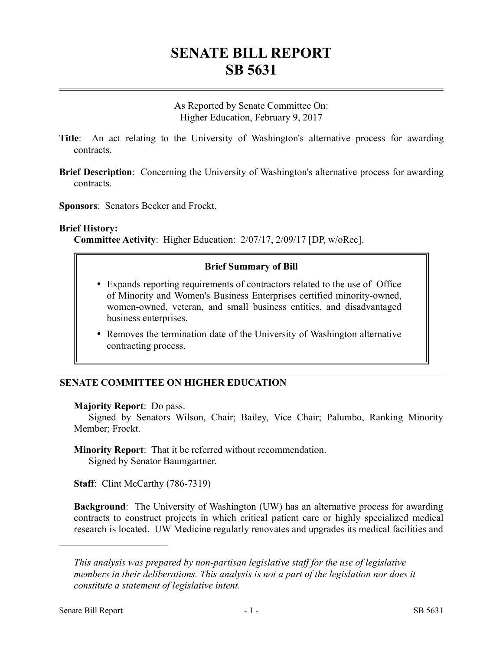# **SENATE BILL REPORT SB 5631**

As Reported by Senate Committee On: Higher Education, February 9, 2017

- **Title**: An act relating to the University of Washington's alternative process for awarding contracts.
- **Brief Description**: Concerning the University of Washington's alternative process for awarding contracts.
- **Sponsors**: Senators Becker and Frockt.

### **Brief History:**

**Committee Activity**: Higher Education: 2/07/17, 2/09/17 [DP, w/oRec].

## **Brief Summary of Bill**

- Expands reporting requirements of contractors related to the use of Office of Minority and Women's Business Enterprises certified minority-owned, women-owned, veteran, and small business entities, and disadvantaged business enterprises.
- Removes the termination date of the University of Washington alternative contracting process.

## **SENATE COMMITTEE ON HIGHER EDUCATION**

#### **Majority Report**: Do pass.

Signed by Senators Wilson, Chair; Bailey, Vice Chair; Palumbo, Ranking Minority Member; Frockt.

#### **Minority Report**: That it be referred without recommendation. Signed by Senator Baumgartner.

**Staff:** Clint McCarthy (786-7319)

**Background**: The University of Washington (UW) has an alternative process for awarding contracts to construct projects in which critical patient care or highly specialized medical research is located. UW Medicine regularly renovates and upgrades its medical facilities and

––––––––––––––––––––––

*This analysis was prepared by non-partisan legislative staff for the use of legislative members in their deliberations. This analysis is not a part of the legislation nor does it constitute a statement of legislative intent.*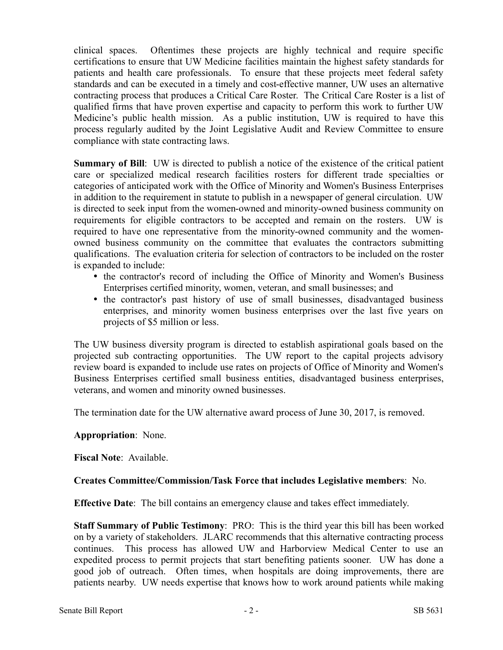clinical spaces. Oftentimes these projects are highly technical and require specific certifications to ensure that UW Medicine facilities maintain the highest safety standards for patients and health care professionals. To ensure that these projects meet federal safety standards and can be executed in a timely and cost-effective manner, UW uses an alternative contracting process that produces a Critical Care Roster. The Critical Care Roster is a list of qualified firms that have proven expertise and capacity to perform this work to further UW Medicine's public health mission. As a public institution, UW is required to have this process regularly audited by the Joint Legislative Audit and Review Committee to ensure compliance with state contracting laws.

**Summary of Bill**: UW is directed to publish a notice of the existence of the critical patient care or specialized medical research facilities rosters for different trade specialties or categories of anticipated work with the Office of Minority and Women's Business Enterprises in addition to the requirement in statute to publish in a newspaper of general circulation. UW is directed to seek input from the women-owned and minority-owned business community on requirements for eligible contractors to be accepted and remain on the rosters. UW is required to have one representative from the minority-owned community and the womenowned business community on the committee that evaluates the contractors submitting qualifications. The evaluation criteria for selection of contractors to be included on the roster is expanded to include:

- the contractor's record of including the Office of Minority and Women's Business Enterprises certified minority, women, veteran, and small businesses; and
- the contractor's past history of use of small businesses, disadvantaged business enterprises, and minority women business enterprises over the last five years on projects of \$5 million or less.

The UW business diversity program is directed to establish aspirational goals based on the projected sub contracting opportunities. The UW report to the capital projects advisory review board is expanded to include use rates on projects of Office of Minority and Women's Business Enterprises certified small business entities, disadvantaged business enterprises, veterans, and women and minority owned businesses.

The termination date for the UW alternative award process of June 30, 2017, is removed.

## **Appropriation**: None.

**Fiscal Note**: Available.

## **Creates Committee/Commission/Task Force that includes Legislative members**: No.

**Effective Date**: The bill contains an emergency clause and takes effect immediately.

**Staff Summary of Public Testimony**: PRO: This is the third year this bill has been worked on by a variety of stakeholders. JLARC recommends that this alternative contracting process continues. This process has allowed UW and Harborview Medical Center to use an expedited process to permit projects that start benefiting patients sooner. UW has done a good job of outreach. Often times, when hospitals are doing improvements, there are patients nearby. UW needs expertise that knows how to work around patients while making